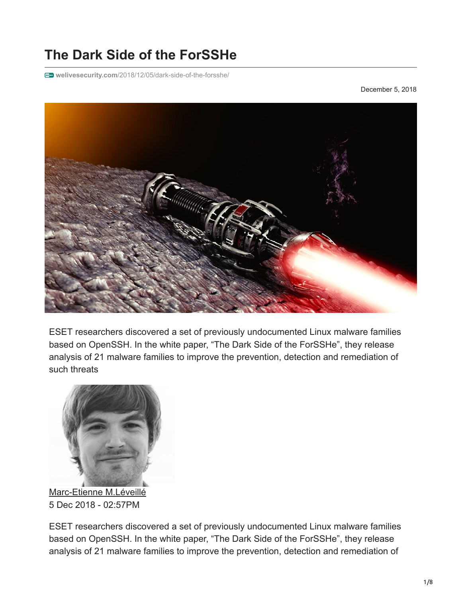# **The Dark Side of the ForSSHe**

**welivesecurity.com**[/2018/12/05/dark-side-of-the-forsshe/](https://www.welivesecurity.com/2018/12/05/dark-side-of-the-forsshe/)

December 5, 2018



ESET researchers discovered a set of previously undocumented Linux malware families based on OpenSSH. In the white paper, "The Dark Side of the ForSSHe", they release analysis of 21 malware families to improve the prevention, detection and remediation of such threats



[Marc-Etienne M.Léveillé](https://www.welivesecurity.com/author/marc-etienne/) 5 Dec 2018 - 02:57PM

ESET researchers discovered a set of previously undocumented Linux malware families based on OpenSSH. In the white paper, "The Dark Side of the ForSSHe", they release analysis of 21 malware families to improve the prevention, detection and remediation of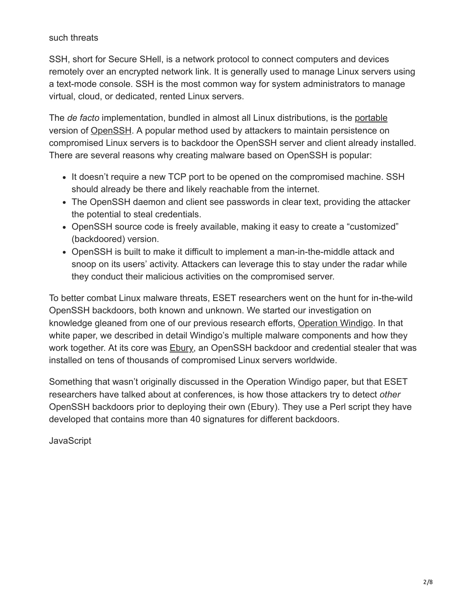such threats

SSH, short for Secure SHell, is a network protocol to connect computers and devices remotely over an encrypted network link. It is generally used to manage Linux servers using a text-mode console. SSH is the most common way for system administrators to manage virtual, cloud, or dedicated, rented Linux servers.

The *de facto* implementation, bundled in almost all Linux distributions, is the [portable](https://www.openssh.com/portable.html) version of [OpenSSH.](https://www.openssh.com/) A popular method used by attackers to maintain persistence on compromised Linux servers is to backdoor the OpenSSH server and client already installed. There are several reasons why creating malware based on OpenSSH is popular:

- It doesn't require a new TCP port to be opened on the compromised machine. SSH should already be there and likely reachable from the internet.
- The OpenSSH daemon and client see passwords in clear text, providing the attacker the potential to steal credentials.
- OpenSSH source code is freely available, making it easy to create a "customized" (backdoored) version.
- OpenSSH is built to make it difficult to implement a man-in-the-middle attack and snoop on its users' activity. Attackers can leverage this to stay under the radar while they conduct their malicious activities on the compromised server.

To better combat Linux malware threats, ESET researchers went on the hunt for in-the-wild OpenSSH backdoors, both known and unknown. We started our investigation on knowledge gleaned from one of our previous research efforts, [Operation Windigo](https://www.welivesecurity.com/wp-content/uploads/2014/03/operation_windigo.pdf). In that white paper, we described in detail Windigo's multiple malware components and how they work together. At its core was **[Ebury](https://www.welivesecurity.com/2014/02/21/an-in-depth-analysis-of-linuxebury/)**, an OpenSSH backdoor and credential stealer that was installed on tens of thousands of compromised Linux servers worldwide.

Something that wasn't originally discussed in the Operation Windigo paper, but that ESET researchers have talked about at conferences, is how those attackers try to detect *other* OpenSSH backdoors prior to deploying their own (Ebury). They use a Perl script they have developed that contains more than 40 signatures for different backdoors.

**JavaScript**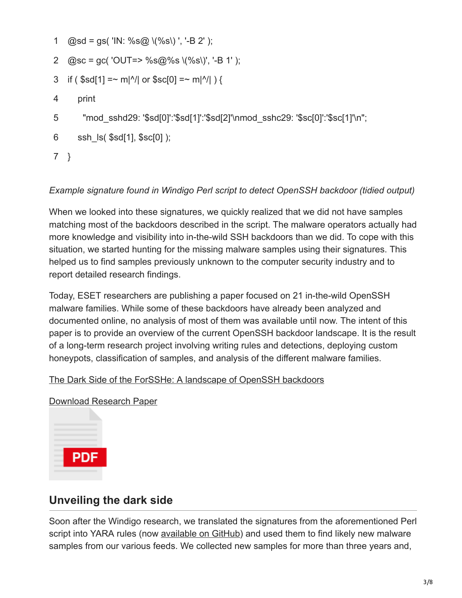- 1  $@sd = gs('IN: %s@ \ (%s)'; ' - B 2');$
- 2 @sc = gc( 'OUT=> %s@%s \(%s\)', '-B 1' );
- 3 if ( \$sd[1] =~ m|^/| or \$sc[0] =~ m|^/| ) {
- 4 print
- 5 "mod\_sshd29: '\$sd[0]':'\$sd[1]':'\$sd[2]'\nmod\_sshc29: '\$sc[0]':'\$sc[1]'\n";
- 6 ssh\_ls( \$sd[1], \$sc[0] );
- 7 }

#### *Example signature found in Windigo Perl script to detect OpenSSH backdoor (tidied output)*

When we looked into these signatures, we quickly realized that we did not have samples matching most of the backdoors described in the script. The malware operators actually had more knowledge and visibility into in-the-wild SSH backdoors than we did. To cope with this situation, we started hunting for the missing malware samples using their signatures. This helped us to find samples previously unknown to the computer security industry and to report detailed research findings.

Today, ESET researchers are publishing a paper focused on 21 in-the-wild OpenSSH malware families. While some of these backdoors have already been analyzed and documented online, no analysis of most of them was available until now. The intent of this paper is to provide an overview of the current OpenSSH backdoor landscape. It is the result of a long-term research project involving writing rules and detections, deploying custom honeypots, classification of samples, and analysis of the different malware families.

#### [The Dark Side of the ForSSHe: A landscape of OpenSSH backdoors](https://www.welivesecurity.com/wp-content/uploads/2018/12/ESET-The_Dark_Side_of_the_ForSSHe.pdf)

[Download Research Paper](https://www.welivesecurity.com/wp-content/uploads/2018/12/ESET-The_Dark_Side_of_the_ForSSHe.pdf)



### **Unveiling the dark side**

Soon after the Windigo research, we translated the signatures from the aforementioned Perl script into YARA rules (now [available on GitHub](https://github.com/eset/malware-ioc/tree/master/sshdoor)) and used them to find likely new malware samples from our various feeds. We collected new samples for more than three years and,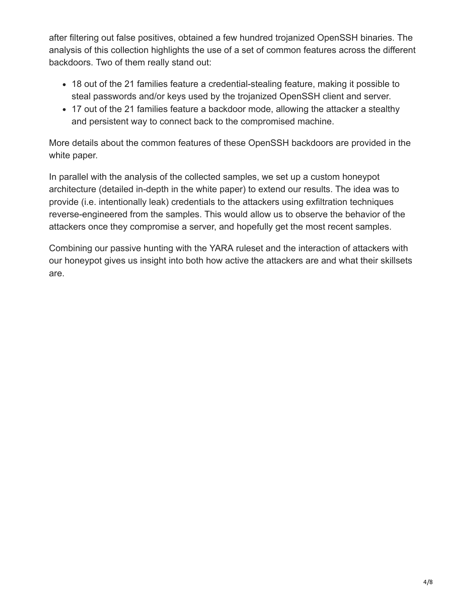after filtering out false positives, obtained a few hundred trojanized OpenSSH binaries. The analysis of this collection highlights the use of a set of common features across the different backdoors. Two of them really stand out:

- 18 out of the 21 families feature a credential-stealing feature, making it possible to steal passwords and/or keys used by the trojanized OpenSSH client and server.
- 17 out of the 21 families feature a backdoor mode, allowing the attacker a stealthy and persistent way to connect back to the compromised machine.

More details about the common features of these OpenSSH backdoors are provided in the white paper.

In parallel with the analysis of the collected samples, we set up a custom honeypot architecture (detailed in-depth in the white paper) to extend our results. The idea was to provide (i.e. intentionally leak) credentials to the attackers using exfiltration techniques reverse-engineered from the samples. This would allow us to observe the behavior of the attackers once they compromise a server, and hopefully get the most recent samples.

Combining our passive hunting with the YARA ruleset and the interaction of attackers with our honeypot gives us insight into both how active the attackers are and what their skillsets are.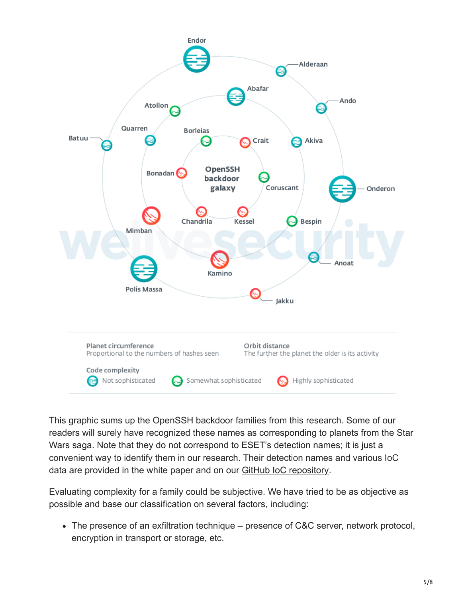

This graphic sums up the OpenSSH backdoor families from this research. Some of our readers will surely have recognized these names as corresponding to planets from the Star Wars saga. Note that they do not correspond to ESET's detection names; it is just a convenient way to identify them in our research. Their detection names and various IoC data are provided in the white paper and on our [GitHub IoC repository.](https://github.com/eset/malware-ioc)

Evaluating complexity for a family could be subjective. We have tried to be as objective as possible and base our classification on several factors, including:

The presence of an exfiltration technique – presence of C&C server, network protocol, encryption in transport or storage, etc.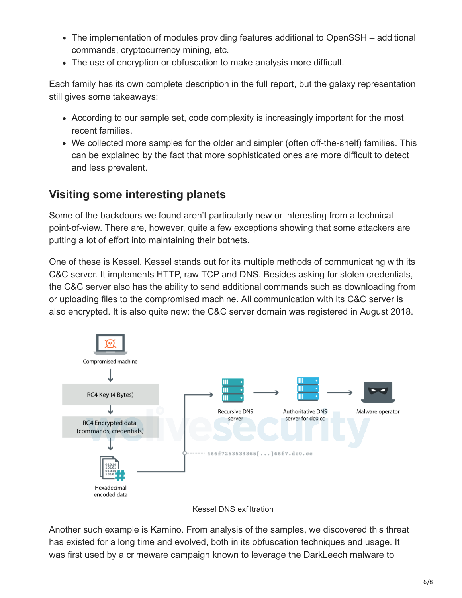- The implementation of modules providing features additional to OpenSSH additional commands, cryptocurrency mining, etc.
- The use of encryption or obfuscation to make analysis more difficult.

Each family has its own complete description in the full report, but the galaxy representation still gives some takeaways:

- According to our sample set, code complexity is increasingly important for the most recent families.
- We collected more samples for the older and simpler (often off-the-shelf) families. This can be explained by the fact that more sophisticated ones are more difficult to detect and less prevalent.

## **Visiting some interesting planets**

Some of the backdoors we found aren't particularly new or interesting from a technical point-of-view. There are, however, quite a few exceptions showing that some attackers are putting a lot of effort into maintaining their botnets.

One of these is Kessel. Kessel stands out for its multiple methods of communicating with its C&C server. It implements HTTP, raw TCP and DNS. Besides asking for stolen credentials, the C&C server also has the ability to send additional commands such as downloading from or uploading files to the compromised machine. All communication with its C&C server is also encrypted. It is also quite new: the C&C server domain was registered in August 2018.



Kessel DNS exfiltration

Another such example is Kamino. From analysis of the samples, we discovered this threat has existed for a long time and evolved, both in its obfuscation techniques and usage. It was first used by a crimeware campaign known to leverage the DarkLeech malware to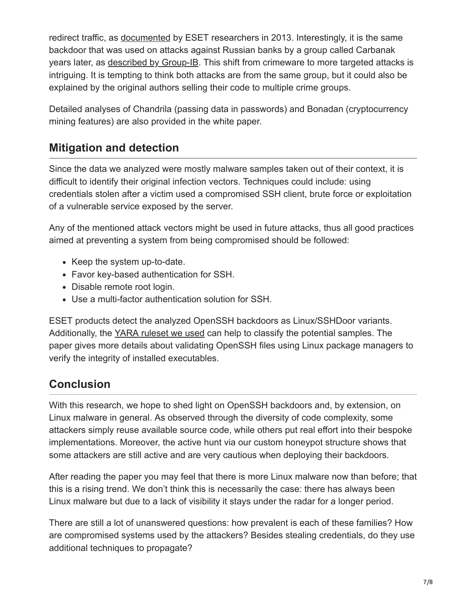redirect traffic, as [documented](https://www.welivesecurity.com/2013/01/24/linux-sshdoor-a-backdoored-ssh-daemon-that-steals-passwords/) by ESET researchers in 2013. Interestingly, it is the same backdoor that was used on attacks against Russian banks by a group called Carbanak years later, as [described by Group-IB](https://www.group-ib.com/blog/renaissance). This shift from crimeware to more targeted attacks is intriguing. It is tempting to think both attacks are from the same group, but it could also be explained by the original authors selling their code to multiple crime groups.

Detailed analyses of Chandrila (passing data in passwords) and Bonadan (cryptocurrency mining features) are also provided in the white paper.

### **Mitigation and detection**

Since the data we analyzed were mostly malware samples taken out of their context, it is difficult to identify their original infection vectors. Techniques could include: using credentials stolen after a victim used a compromised SSH client, brute force or exploitation of a vulnerable service exposed by the server.

Any of the mentioned attack vectors might be used in future attacks, thus all good practices aimed at preventing a system from being compromised should be followed:

- Keep the system up-to-date.
- Favor key-based authentication for SSH.
- Disable remote root login.
- Use a multi-factor authentication solution for SSH.

ESET products detect the analyzed OpenSSH backdoors as Linux/SSHDoor variants. Additionally, the [YARA ruleset we used](https://github.com/eset/malware-ioc/tree/master/sshdoor) can help to classify the potential samples. The paper gives more details about validating OpenSSH files using Linux package managers to verify the integrity of installed executables.

### **Conclusion**

With this research, we hope to shed light on OpenSSH backdoors and, by extension, on Linux malware in general. As observed through the diversity of code complexity, some attackers simply reuse available source code, while others put real effort into their bespoke implementations. Moreover, the active hunt via our custom honeypot structure shows that some attackers are still active and are very cautious when deploying their backdoors.

After reading the paper you may feel that there is more Linux malware now than before; that this is a rising trend. We don't think this is necessarily the case: there has always been Linux malware but due to a lack of visibility it stays under the radar for a longer period.

There are still a lot of unanswered questions: how prevalent is each of these families? How are compromised systems used by the attackers? Besides stealing credentials, do they use additional techniques to propagate?